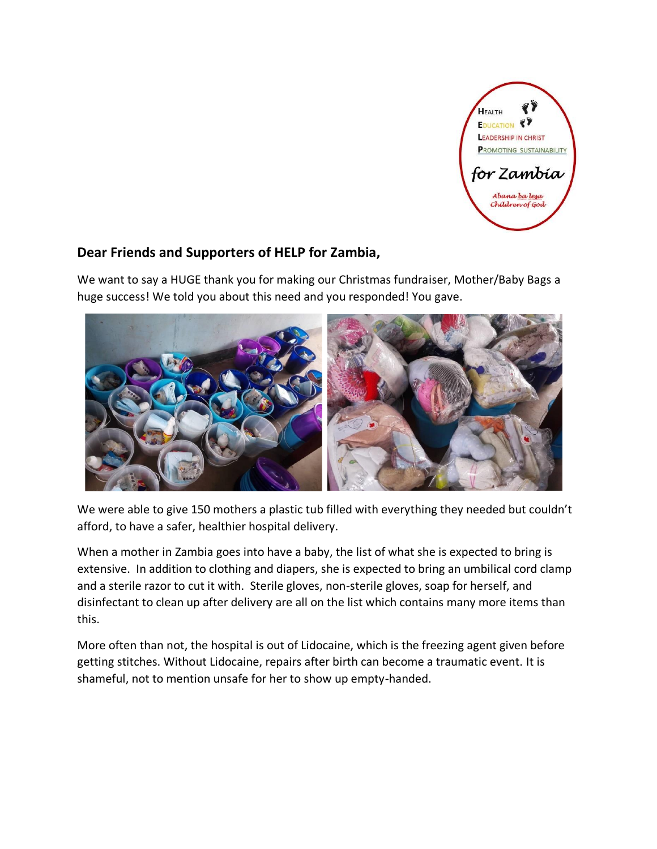

## **Dear Friends and Supporters of HELP for Zambia,**

We want to say a HUGE thank you for making our Christmas fundraiser, Mother/Baby Bags a huge success! We told you about this need and you responded! You gave.



We were able to give 150 mothers a plastic tub filled with everything they needed but couldn't afford, to have a safer, healthier hospital delivery.

When a mother in Zambia goes into have a baby, the list of what she is expected to bring is extensive. In addition to clothing and diapers, she is expected to bring an umbilical cord clamp and a sterile razor to cut it with. Sterile gloves, non-sterile gloves, soap for herself, and disinfectant to clean up after delivery are all on the list which contains many more items than this.

More often than not, the hospital is out of Lidocaine, which is the freezing agent given before getting stitches. Without Lidocaine, repairs after birth can become a traumatic event. It is shameful, not to mention unsafe for her to show up empty-handed.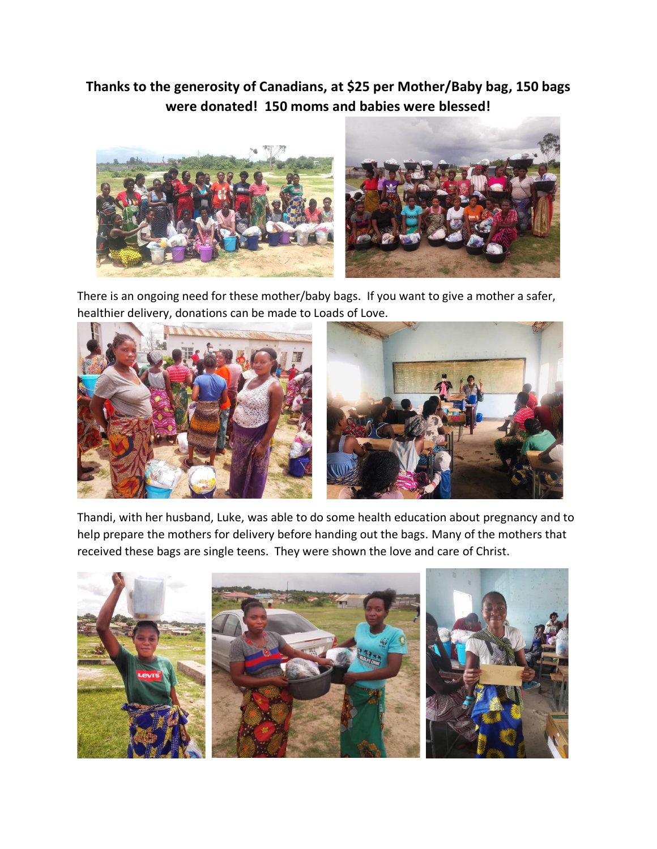## **Thanks to the generosity of Canadians, at \$25 per Mother/Baby bag, 150 bags were donated! 150 moms and babies were blessed!**



There is an ongoing need for these mother/baby bags. If you want to give a mother a safer, healthier delivery, donations can be made to Loads of Love.



Thandi, with her husband, Luke, was able to do some health education about pregnancy and to help prepare the mothers for delivery before handing out the bags. Many of the mothers that received these bags are single teens. They were shown the love and care of Christ.

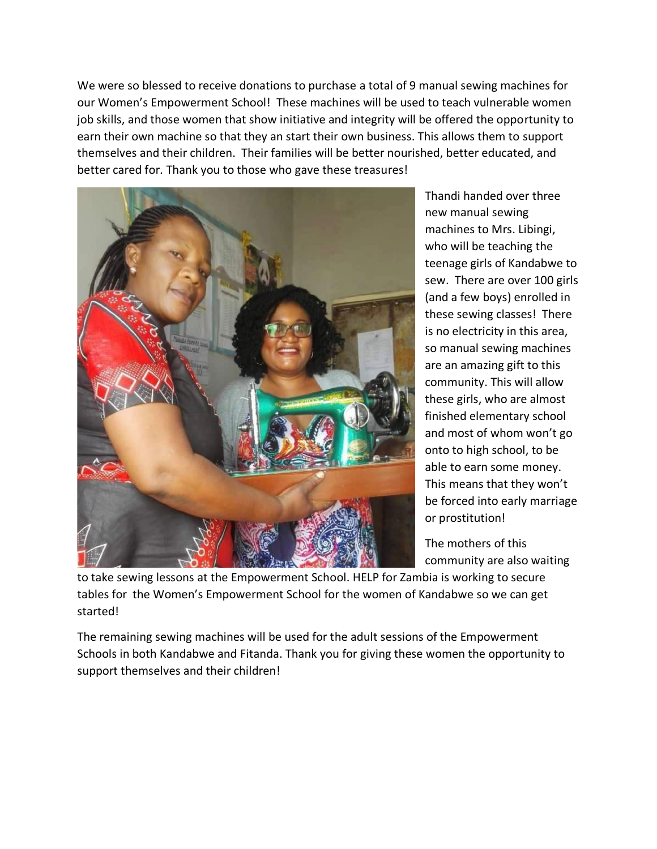We were so blessed to receive donations to purchase a total of 9 manual sewing machines for our Women's Empowerment School! These machines will be used to teach vulnerable women job skills, and those women that show initiative and integrity will be offered the opportunity to earn their own machine so that they an start their own business. This allows them to support themselves and their children. Their families will be better nourished, better educated, and better cared for. Thank you to those who gave these treasures!



Thandi handed over three new manual sewing machines to Mrs. Libingi, who will be teaching the teenage girls of Kandabwe to sew. There are over 100 girls (and a few boys) enrolled in these sewing classes! There is no electricity in this area, so manual sewing machines are an amazing gift to this community. This will allow these girls, who are almost finished elementary school and most of whom won't go onto to high school, to be able to earn some money. This means that they won't be forced into early marriage or prostitution!

The mothers of this community are also waiting

to take sewing lessons at the Empowerment School. HELP for Zambia is working to secure tables for the Women's Empowerment School for the women of Kandabwe so we can get started!

The remaining sewing machines will be used for the adult sessions of the Empowerment Schools in both Kandabwe and Fitanda. Thank you for giving these women the opportunity to support themselves and their children!